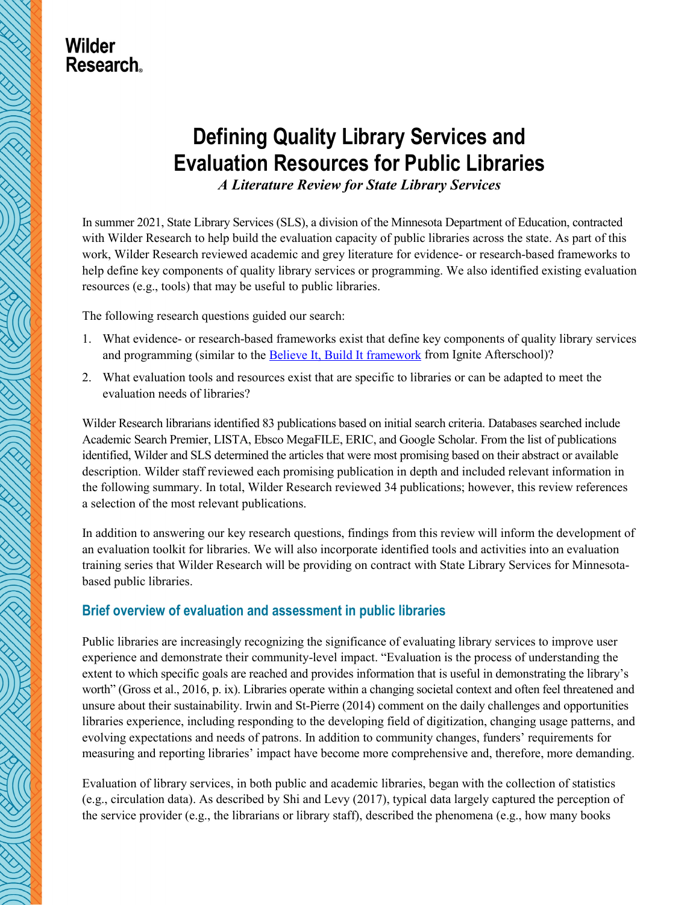## **Wilder Research**

# **Defining Quality Library Services and Evaluation Resources for Public Libraries**

*A Literature Review for State Library Services*

In summer 2021, State Library Services (SLS), a division of the Minnesota Department of Education, contracted with Wilder Research to help build the evaluation capacity of public libraries across the state. As part of this work, Wilder Research reviewed academic and grey literature for evidence- or research-based frameworks to help define key components of quality library services or programming. We also identified existing evaluation resources (e.g., tools) that may be useful to public libraries.

The following research questions guided our search:

- 1. What evidence- or research-based frameworks exist that define key components of quality library services and programming (similar to th[e Believe It, Build It framework](https://igniteafterschool.org/bibi) from Ignite Afterschool)?
- 2. What evaluation tools and resources exist that are specific to libraries or can be adapted to meet the evaluation needs of libraries?

Wilder Research librarians identified 83 publications based on initial search criteria. Databases searched include Academic Search Premier, LISTA, Ebsco MegaFILE, ERIC, and Google Scholar. From the list of publications identified, Wilder and SLS determined the articles that were most promising based on their abstract or available description. Wilder staff reviewed each promising publication in depth and included relevant information in the following summary. In total, Wilder Research reviewed 34 publications; however, this review references a selection of the most relevant publications.

In addition to answering our key research questions, findings from this review will inform the development of an evaluation toolkit for libraries. We will also incorporate identified tools and activities into an evaluation training series that Wilder Research will be providing on contract with State Library Services for Minnesotabased public libraries.

## **Brief overview of evaluation and assessment in public libraries**

Public libraries are increasingly recognizing the significance of evaluating library services to improve user experience and demonstrate their community-level impact. "Evaluation is the process of understanding the extent to which specific goals are reached and provides information that is useful in demonstrating the library's worth" (Gross et al., 2016, p. ix). Libraries operate within a changing societal context and often feel threatened and unsure about their sustainability. Irwin and St-Pierre (2014) comment on the daily challenges and opportunities libraries experience, including responding to the developing field of digitization, changing usage patterns, and evolving expectations and needs of patrons. In addition to community changes, funders' requirements for measuring and reporting libraries' impact have become more comprehensive and, therefore, more demanding.

Evaluation of library services, in both public and academic libraries, began with the collection of statistics (e.g., circulation data). As described by Shi and Levy (2017), typical data largely captured the perception of the service provider (e.g., the librarians or library staff), described the phenomena (e.g., how many books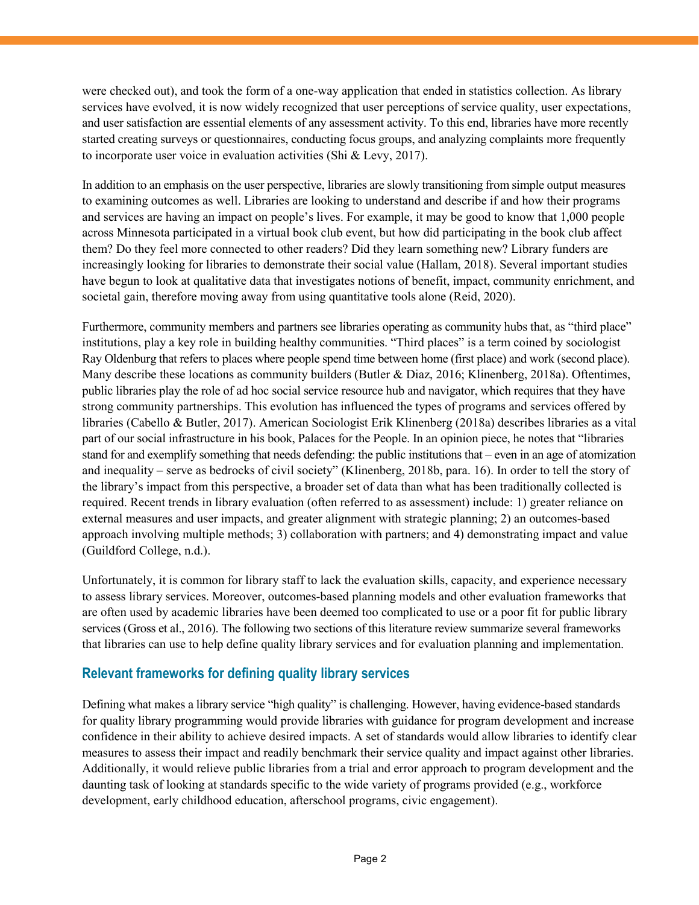were checked out), and took the form of a one-way application that ended in statistics collection. As library services have evolved, it is now widely recognized that user perceptions of service quality, user expectations, and user satisfaction are essential elements of any assessment activity. To this end, libraries have more recently started creating surveys or questionnaires, conducting focus groups, and analyzing complaints more frequently to incorporate user voice in evaluation activities (Shi & Levy, 2017).

In addition to an emphasis on the user perspective, libraries are slowly transitioning from simple output measures to examining outcomes as well. Libraries are looking to understand and describe if and how their programs and services are having an impact on people's lives. For example, it may be good to know that 1,000 people across Minnesota participated in a virtual book club event, but how did participating in the book club affect them? Do they feel more connected to other readers? Did they learn something new? Library funders are increasingly looking for libraries to demonstrate their social value (Hallam, 2018). Several important studies have begun to look at qualitative data that investigates notions of benefit, impact, community enrichment, and societal gain, therefore moving away from using quantitative tools alone (Reid, 2020).

Furthermore, community members and partners see libraries operating as community hubs that, as "third place" institutions, play a key role in building healthy communities. "Third places" is a term coined by sociologist Ray Oldenburg that refers to places where people spend time between home (first place) and work (second place). Many describe these locations as community builders (Butler & Diaz, 2016; Klinenberg, 2018a). Oftentimes, public libraries play the role of ad hoc social service resource hub and navigator, which requires that they have strong community partnerships. This evolution has influenced the types of programs and services offered by libraries (Cabello & Butler, 2017). American Sociologist Erik Klinenberg (2018a) describes libraries as a vital part of our social infrastructure in his book, Palaces for the People. In an opinion piece, he notes that "libraries stand for and exemplify something that needs defending: the public institutions that – even in an age of atomization and inequality – serve as bedrocks of civil society" (Klinenberg, 2018b, para. 16). In order to tell the story of the library's impact from this perspective, a broader set of data than what has been traditionally collected is required. Recent trends in library evaluation (often referred to as assessment) include: 1) greater reliance on external measures and user impacts, and greater alignment with strategic planning; 2) an outcomes-based approach involving multiple methods; 3) collaboration with partners; and 4) demonstrating impact and value (Guildford College, n.d.).

Unfortunately, it is common for library staff to lack the evaluation skills, capacity, and experience necessary to assess library services. Moreover, outcomes-based planning models and other evaluation frameworks that are often used by academic libraries have been deemed too complicated to use or a poor fit for public library services (Gross et al., 2016). The following two sections of this literature review summarize several frameworks that libraries can use to help define quality library services and for evaluation planning and implementation.

## **Relevant frameworks for defining quality library services**

Defining what makes a library service "high quality" is challenging. However, having evidence-based standards for quality library programming would provide libraries with guidance for program development and increase confidence in their ability to achieve desired impacts. A set of standards would allow libraries to identify clear measures to assess their impact and readily benchmark their service quality and impact against other libraries. Additionally, it would relieve public libraries from a trial and error approach to program development and the daunting task of looking at standards specific to the wide variety of programs provided (e.g., workforce development, early childhood education, afterschool programs, civic engagement).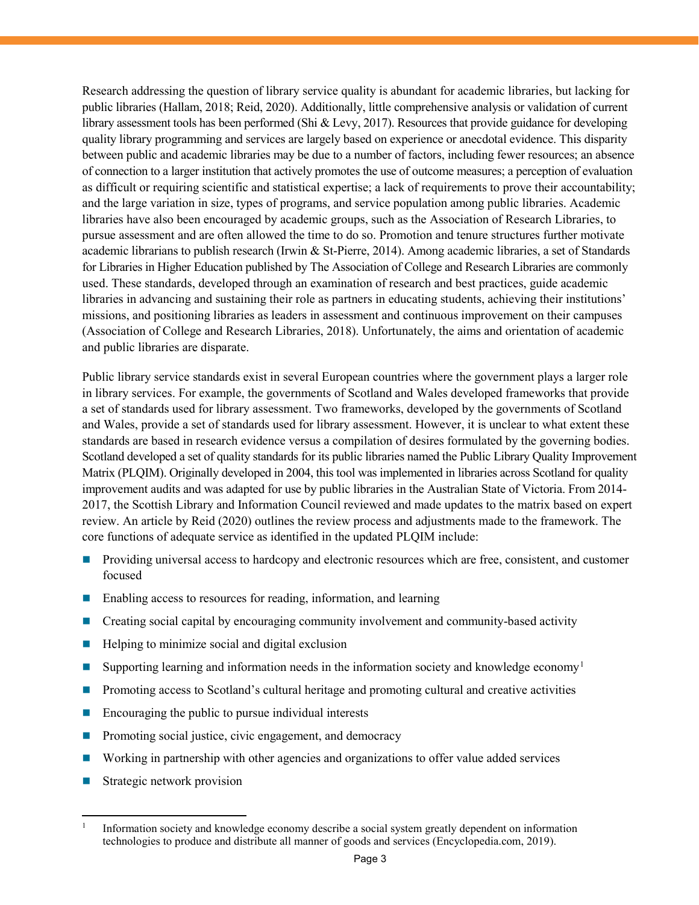Research addressing the question of library service quality is abundant for academic libraries, but lacking for public libraries (Hallam, 2018; Reid, 2020). Additionally, little comprehensive analysis or validation of current library assessment tools has been performed (Shi & Levy, 2017). Resources that provide guidance for developing quality library programming and services are largely based on experience or anecdotal evidence. This disparity between public and academic libraries may be due to a number of factors, including fewer resources; an absence of connection to a larger institution that actively promotes the use of outcome measures; a perception of evaluation as difficult or requiring scientific and statistical expertise; a lack of requirements to prove their accountability; and the large variation in size, types of programs, and service population among public libraries. Academic libraries have also been encouraged by academic groups, such as the Association of Research Libraries, to pursue assessment and are often allowed the time to do so. Promotion and tenure structures further motivate academic librarians to publish research (Irwin & St-Pierre, 2014). Among academic libraries, a set of Standards for Libraries in Higher Education published by The Association of College and Research Libraries are commonly used. These standards, developed through an examination of research and best practices, guide academic libraries in advancing and sustaining their role as partners in educating students, achieving their institutions' missions, and positioning libraries as leaders in assessment and continuous improvement on their campuses (Association of College and Research Libraries, 2018). Unfortunately, the aims and orientation of academic and public libraries are disparate.

Public library service standards exist in several European countries where the government plays a larger role in library services. For example, the governments of Scotland and Wales developed frameworks that provide a set of standards used for library assessment. Two frameworks, developed by the governments of Scotland and Wales, provide a set of standards used for library assessment. However, it is unclear to what extent these standards are based in research evidence versus a compilation of desires formulated by the governing bodies. Scotland developed a set of quality standards for its public libraries named the Public Library Quality Improvement Matrix (PLQIM). Originally developed in 2004, this tool was implemented in libraries across Scotland for quality improvement audits and was adapted for use by public libraries in the Australian State of Victoria. From 2014- 2017, the Scottish Library and Information Council reviewed and made updates to the matrix based on expert review. An article by Reid (2020) outlines the review process and adjustments made to the framework. The core functions of adequate service as identified in the updated PLQIM include:

- **Providing universal access to hardcopy and electronic resources which are free, consistent, and customer** focused
- Enabling access to resources for reading, information, and learning
- Creating social capital by encouraging community involvement and community-based activity
- $\blacksquare$  Helping to minimize social and digital exclusion
- Supporting learning and information needs in the information society and knowledge economy<sup>[1](#page-2-0)</sup>
- Promoting access to Scotland's cultural heritage and promoting cultural and creative activities
- $\blacksquare$  Encouraging the public to pursue individual interests
- Promoting social justice, civic engagement, and democracy
- Working in partnership with other agencies and organizations to offer value added services
- Strategic network provision

<span id="page-2-0"></span> <sup>1</sup> Information society and knowledge economy describe a social system greatly dependent on information technologies to produce and distribute all manner of goods and services (Encyclopedia.com, 2019).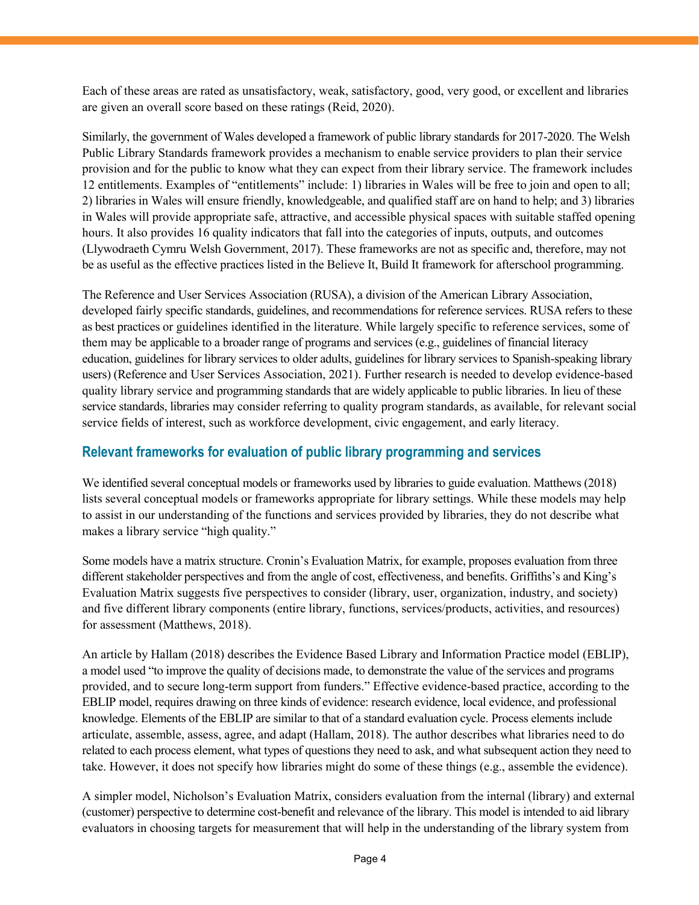Each of these areas are rated as unsatisfactory, weak, satisfactory, good, very good, or excellent and libraries are given an overall score based on these ratings (Reid, 2020).

Similarly, the government of Wales developed a framework of public library standards for 2017-2020. The Welsh Public Library Standards framework provides a mechanism to enable service providers to plan their service provision and for the public to know what they can expect from their library service. The framework includes 12 entitlements. Examples of "entitlements" include: 1) libraries in Wales will be free to join and open to all; 2) libraries in Wales will ensure friendly, knowledgeable, and qualified staff are on hand to help; and 3) libraries in Wales will provide appropriate safe, attractive, and accessible physical spaces with suitable staffed opening hours. It also provides 16 quality indicators that fall into the categories of inputs, outputs, and outcomes (Llywodraeth Cymru Welsh Government, 2017). These frameworks are not as specific and, therefore, may not be as useful as the effective practices listed in the Believe It, Build It framework for afterschool programming.

The Reference and User Services Association (RUSA), a division of the American Library Association, developed fairly specific standards, guidelines, and recommendations for reference services. RUSA refers to these as best practices or guidelines identified in the literature. While largely specific to reference services, some of them may be applicable to a broader range of programs and services (e.g., guidelines of financial literacy education, guidelines for library services to older adults, guidelines for library services to Spanish-speaking library users) (Reference and User Services Association, 2021). Further research is needed to develop evidence-based quality library service and programming standards that are widely applicable to public libraries. In lieu of these service standards, libraries may consider referring to quality program standards, as available, for relevant social service fields of interest, such as workforce development, civic engagement, and early literacy.

## **Relevant frameworks for evaluation of public library programming and services**

We identified several conceptual models or frameworks used by libraries to guide evaluation. Matthews (2018) lists several conceptual models or frameworks appropriate for library settings. While these models may help to assist in our understanding of the functions and services provided by libraries, they do not describe what makes a library service "high quality."

Some models have a matrix structure. Cronin's Evaluation Matrix, for example, proposes evaluation from three different stakeholder perspectives and from the angle of cost, effectiveness, and benefits. Griffiths's and King's Evaluation Matrix suggests five perspectives to consider (library, user, organization, industry, and society) and five different library components (entire library, functions, services/products, activities, and resources) for assessment (Matthews, 2018).

An article by Hallam (2018) describes the Evidence Based Library and Information Practice model (EBLIP), a model used "to improve the quality of decisions made, to demonstrate the value of the services and programs provided, and to secure long-term support from funders." Effective evidence-based practice, according to the EBLIP model, requires drawing on three kinds of evidence: research evidence, local evidence, and professional knowledge. Elements of the EBLIP are similar to that of a standard evaluation cycle. Process elements include articulate, assemble, assess, agree, and adapt (Hallam, 2018). The author describes what libraries need to do related to each process element, what types of questions they need to ask, and what subsequent action they need to take. However, it does not specify how libraries might do some of these things (e.g., assemble the evidence).

A simpler model, Nicholson's Evaluation Matrix, considers evaluation from the internal (library) and external (customer) perspective to determine cost-benefit and relevance of the library. This model is intended to aid library evaluators in choosing targets for measurement that will help in the understanding of the library system from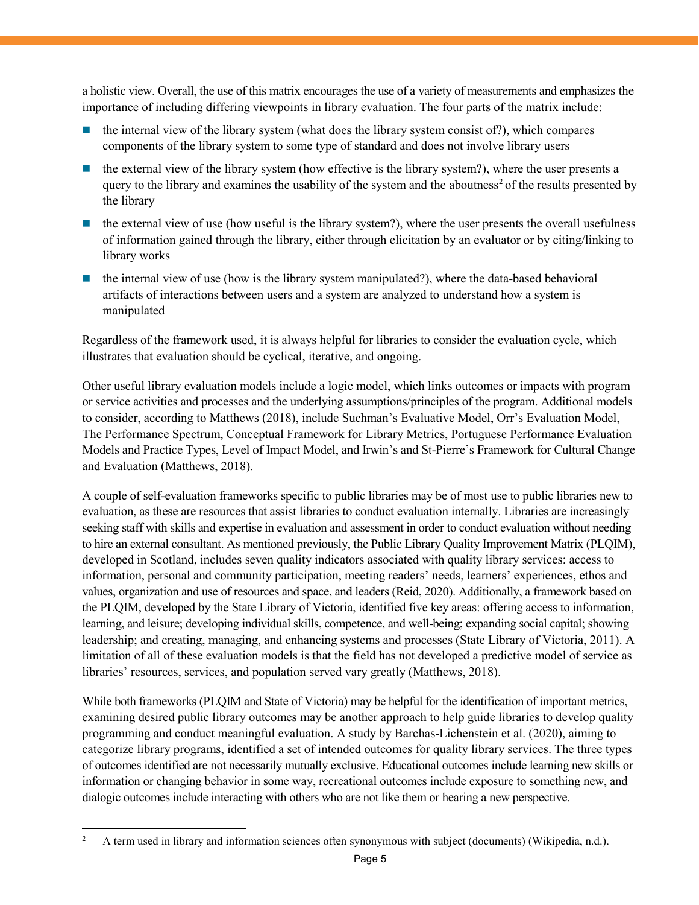a holistic view. Overall, the use of this matrix encourages the use of a variety of measurements and emphasizes the importance of including differing viewpoints in library evaluation. The four parts of the matrix include:

- the internal view of the library system (what does the library system consist of?), which compares components of the library system to some type of standard and does not involve library users
- the external view of the library system (how effective is the library system?), where the user presents a query to the library and examines the usability of the system and the aboutness<sup>[2](#page-4-0)</sup> of the results presented by the library
- $\blacksquare$  the external view of use (how useful is the library system?), where the user presents the overall usefulness of information gained through the library, either through elicitation by an evaluator or by citing/linking to library works
- $\blacksquare$  the internal view of use (how is the library system manipulated?), where the data-based behavioral artifacts of interactions between users and a system are analyzed to understand how a system is manipulated

Regardless of the framework used, it is always helpful for libraries to consider the evaluation cycle, which illustrates that evaluation should be cyclical, iterative, and ongoing.

Other useful library evaluation models include a logic model, which links outcomes or impacts with program or service activities and processes and the underlying assumptions/principles of the program. Additional models to consider, according to Matthews (2018), include Suchman's Evaluative Model, Orr's Evaluation Model, The Performance Spectrum, Conceptual Framework for Library Metrics, Portuguese Performance Evaluation Models and Practice Types, Level of Impact Model, and Irwin's and St-Pierre's Framework for Cultural Change and Evaluation (Matthews, 2018).

A couple of self-evaluation frameworks specific to public libraries may be of most use to public libraries new to evaluation, as these are resources that assist libraries to conduct evaluation internally. Libraries are increasingly seeking staff with skills and expertise in evaluation and assessment in order to conduct evaluation without needing to hire an external consultant. As mentioned previously, the Public Library Quality Improvement Matrix (PLQIM), developed in Scotland, includes seven quality indicators associated with quality library services: access to information, personal and community participation, meeting readers' needs, learners' experiences, ethos and values, organization and use of resources and space, and leaders (Reid, 2020). Additionally, a framework based on the PLQIM, developed by the State Library of Victoria, identified five key areas: offering access to information, learning, and leisure; developing individual skills, competence, and well-being; expanding social capital; showing leadership; and creating, managing, and enhancing systems and processes (State Library of Victoria, 2011). A limitation of all of these evaluation models is that the field has not developed a predictive model of service as libraries' resources, services, and population served vary greatly (Matthews, 2018).

While both frameworks (PLQIM and State of Victoria) may be helpful for the identification of important metrics, examining desired public library outcomes may be another approach to help guide libraries to develop quality programming and conduct meaningful evaluation. A study by Barchas-Lichenstein et al. (2020), aiming to categorize library programs, identified a set of intended outcomes for quality library services. The three types of outcomes identified are not necessarily mutually exclusive. Educational outcomes include learning new skills or information or changing behavior in some way, recreational outcomes include exposure to something new, and dialogic outcomes include interacting with others who are not like them or hearing a new perspective.

<span id="page-4-0"></span> <sup>2</sup> A term used in library and information sciences often synonymous with subject (documents) (Wikipedia, n.d.).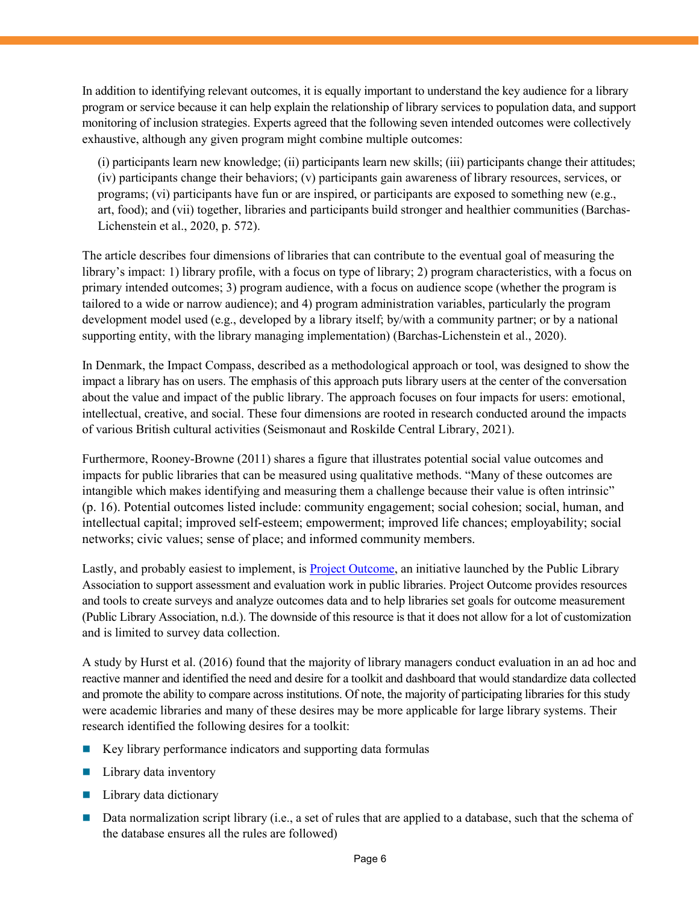In addition to identifying relevant outcomes, it is equally important to understand the key audience for a library program or service because it can help explain the relationship of library services to population data, and support monitoring of inclusion strategies. Experts agreed that the following seven intended outcomes were collectively exhaustive, although any given program might combine multiple outcomes:

(i) participants learn new knowledge; (ii) participants learn new skills; (iii) participants change their attitudes; (iv) participants change their behaviors; (v) participants gain awareness of library resources, services, or programs; (vi) participants have fun or are inspired, or participants are exposed to something new (e.g., art, food); and (vii) together, libraries and participants build stronger and healthier communities (Barchas-Lichenstein et al., 2020, p. 572).

The article describes four dimensions of libraries that can contribute to the eventual goal of measuring the library's impact: 1) library profile, with a focus on type of library; 2) program characteristics, with a focus on primary intended outcomes; 3) program audience, with a focus on audience scope (whether the program is tailored to a wide or narrow audience); and 4) program administration variables, particularly the program development model used (e.g., developed by a library itself; by/with a community partner; or by a national supporting entity, with the library managing implementation) (Barchas-Lichenstein et al., 2020).

In Denmark, the Impact Compass, described as a methodological approach or tool, was designed to show the impact a library has on users. The emphasis of this approach puts library users at the center of the conversation about the value and impact of the public library. The approach focuses on four impacts for users: emotional, intellectual, creative, and social. These four dimensions are rooted in research conducted around the impacts of various British cultural activities (Seismonaut and Roskilde Central Library, 2021).

Furthermore, Rooney-Browne (2011) shares a figure that illustrates potential social value outcomes and impacts for public libraries that can be measured using qualitative methods. "Many of these outcomes are intangible which makes identifying and measuring them a challenge because their value is often intrinsic" (p. 16). Potential outcomes listed include: community engagement; social cohesion; social, human, and intellectual capital; improved self-esteem; empowerment; improved life chances; employability; social networks; civic values; sense of place; and informed community members.

Lastly, and probably easiest to implement, is [Project Outcome,](https://www.projectoutcome.org/) an initiative launched by the Public Library Association to support assessment and evaluation work in public libraries. Project Outcome provides resources and tools to create surveys and analyze outcomes data and to help libraries set goals for outcome measurement (Public Library Association, n.d.). The downside of this resource is that it does not allow for a lot of customization and is limited to survey data collection.

A study by Hurst et al. (2016) found that the majority of library managers conduct evaluation in an ad hoc and reactive manner and identified the need and desire for a toolkit and dashboard that would standardize data collected and promote the ability to compare across institutions. Of note, the majority of participating libraries for this study were academic libraries and many of these desires may be more applicable for large library systems. Their research identified the following desires for a toolkit:

- $\blacksquare$  Key library performance indicators and supporting data formulas
- **Library data inventory**
- $\blacksquare$  Library data dictionary
- Data normalization script library (i.e., a set of rules that are applied to a database, such that the schema of the database ensures all the rules are followed)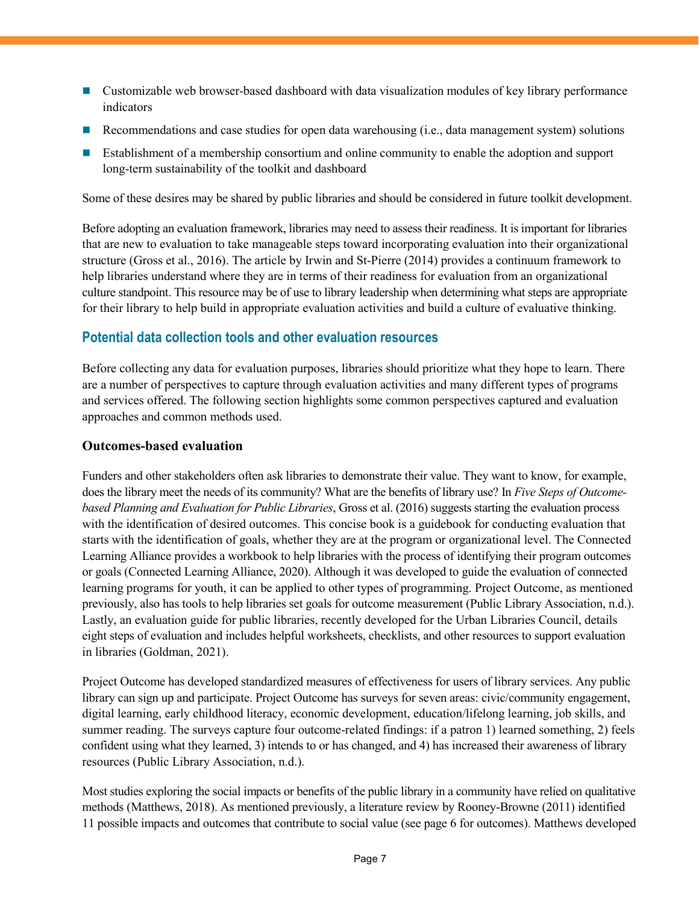- **EXECUTE:** Customizable web browser-based dashboard with data visualization modules of key library performance indicators
- Recommendations and case studies for open data warehousing (i.e., data management system) solutions
- **Establishment of a membership consortium and online community to enable the adoption and support** long-term sustainability of the toolkit and dashboard

Some of these desires may be shared by public libraries and should be considered in future toolkit development.

Before adopting an evaluation framework, libraries may need to assess their readiness. It is important for libraries that are new to evaluation to take manageable steps toward incorporating evaluation into their organizational structure (Gross et al., 2016). The article by Irwin and St-Pierre (2014) provides a continuum framework to help libraries understand where they are in terms of their readiness for evaluation from an organizational culture standpoint. This resource may be of use to library leadership when determining what steps are appropriate for their library to help build in appropriate evaluation activities and build a culture of evaluative thinking.

## **Potential data collection tools and other evaluation resources**

Before collecting any data for evaluation purposes, libraries should prioritize what they hope to learn. There are a number of perspectives to capture through evaluation activities and many different types of programs and services offered. The following section highlights some common perspectives captured and evaluation approaches and common methods used.

#### **Outcomes-based evaluation**

Funders and other stakeholders often ask libraries to demonstrate their value. They want to know, for example, does the library meet the needs of its community? What are the benefits of library use? In *Five Steps of Outcomebased Planning and Evaluation for Public Libraries*, Gross et al. (2016) suggests starting the evaluation process with the identification of desired outcomes. This concise book is a guidebook for conducting evaluation that starts with the identification of goals, whether they are at the program or organizational level. The Connected Learning Alliance provides a workbook to help libraries with the process of identifying their program outcomes or goals (Connected Learning Alliance, 2020). Although it was developed to guide the evaluation of connected learning programs for youth, it can be applied to other types of programming. Project Outcome, as mentioned previously, also has tools to help libraries set goals for outcome measurement (Public Library Association, n.d.). Lastly, an evaluation guide for public libraries, recently developed for the Urban Libraries Council, details eight steps of evaluation and includes helpful worksheets, checklists, and other resources to support evaluation in libraries (Goldman, 2021).

Project Outcome has developed standardized measures of effectiveness for users of library services. Any public library can sign up and participate. Project Outcome has surveys for seven areas: civic/community engagement, digital learning, early childhood literacy, economic development, education/lifelong learning, job skills, and summer reading. The surveys capture four outcome-related findings: if a patron 1) learned something, 2) feels confident using what they learned, 3) intends to or has changed, and 4) has increased their awareness of library resources (Public Library Association, n.d.).

Most studies exploring the social impacts or benefits of the public library in a community have relied on qualitative methods (Matthews, 2018). As mentioned previously, a literature review by Rooney-Browne (2011) identified 11 possible impacts and outcomes that contribute to social value (see page 6 for outcomes). Matthews developed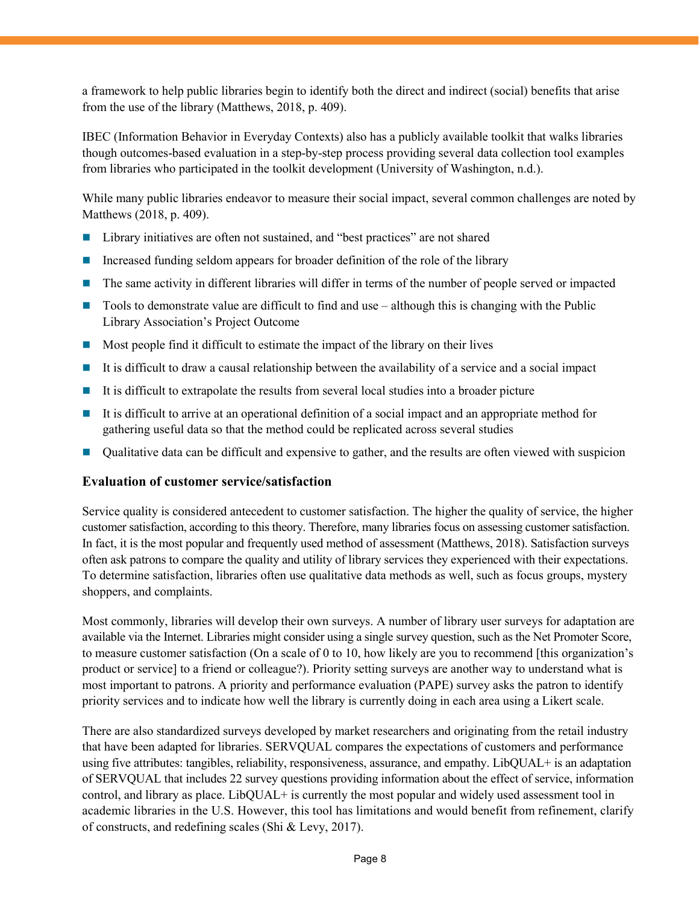a framework to help public libraries begin to identify both the direct and indirect (social) benefits that arise from the use of the library (Matthews, 2018, p. 409).

IBEC (Information Behavior in Everyday Contexts) also has a publicly available toolkit that walks libraries though outcomes-based evaluation in a step-by-step process providing several data collection tool examples from libraries who participated in the toolkit development (University of Washington, n.d.).

While many public libraries endeavor to measure their social impact, several common challenges are noted by Matthews (2018, p. 409).

- Library initiatives are often not sustained, and "best practices" are not shared
- Increased funding seldom appears for broader definition of the role of the library
- The same activity in different libraries will differ in terms of the number of people served or impacted
- Tools to demonstrate value are difficult to find and use although this is changing with the Public Library Association's Project Outcome
- $\blacksquare$  Most people find it difficult to estimate the impact of the library on their lives
- It is difficult to draw a causal relationship between the availability of a service and a social impact
- It is difficult to extrapolate the results from several local studies into a broader picture
- It is difficult to arrive at an operational definition of a social impact and an appropriate method for gathering useful data so that the method could be replicated across several studies
- Qualitative data can be difficult and expensive to gather, and the results are often viewed with suspicion

#### **Evaluation of customer service/satisfaction**

Service quality is considered antecedent to customer satisfaction. The higher the quality of service, the higher customer satisfaction, according to this theory. Therefore, many libraries focus on assessing customer satisfaction. In fact, it is the most popular and frequently used method of assessment (Matthews, 2018). Satisfaction surveys often ask patrons to compare the quality and utility of library services they experienced with their expectations. To determine satisfaction, libraries often use qualitative data methods as well, such as focus groups, mystery shoppers, and complaints.

Most commonly, libraries will develop their own surveys. A number of library user surveys for adaptation are available via the Internet. Libraries might consider using a single survey question, such as the Net Promoter Score, to measure customer satisfaction (On a scale of 0 to 10, how likely are you to recommend [this organization's product or service] to a friend or colleague?). Priority setting surveys are another way to understand what is most important to patrons. A priority and performance evaluation (PAPE) survey asks the patron to identify priority services and to indicate how well the library is currently doing in each area using a Likert scale.

There are also standardized surveys developed by market researchers and originating from the retail industry that have been adapted for libraries. SERVQUAL compares the expectations of customers and performance using five attributes: tangibles, reliability, responsiveness, assurance, and empathy. LibQUAL+ is an adaptation of SERVQUAL that includes 22 survey questions providing information about the effect of service, information control, and library as place. LibQUAL+ is currently the most popular and widely used assessment tool in academic libraries in the U.S. However, this tool has limitations and would benefit from refinement, clarify of constructs, and redefining scales (Shi & Levy, 2017).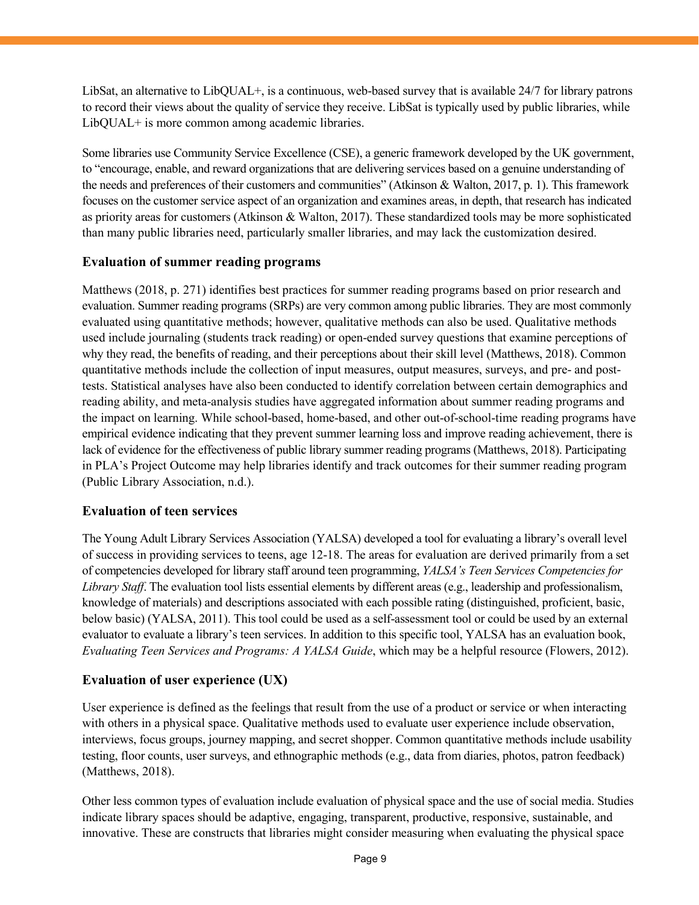LibSat, an alternative to LibQUAL+, is a continuous, web-based survey that is available 24/7 for library patrons to record their views about the quality of service they receive. LibSat is typically used by public libraries, while LibQUAL+ is more common among academic libraries.

Some libraries use Community Service Excellence (CSE), a generic framework developed by the UK government, to "encourage, enable, and reward organizations that are delivering services based on a genuine understanding of the needs and preferences of their customers and communities" (Atkinson & Walton, 2017, p. 1). This framework focuses on the customer service aspect of an organization and examines areas, in depth, that research has indicated as priority areas for customers (Atkinson & Walton, 2017). These standardized tools may be more sophisticated than many public libraries need, particularly smaller libraries, and may lack the customization desired.

#### **Evaluation of summer reading programs**

Matthews (2018, p. 271) identifies best practices for summer reading programs based on prior research and evaluation. Summer reading programs (SRPs) are very common among public libraries. They are most commonly evaluated using quantitative methods; however, qualitative methods can also be used. Qualitative methods used include journaling (students track reading) or open-ended survey questions that examine perceptions of why they read, the benefits of reading, and their perceptions about their skill level (Matthews, 2018). Common quantitative methods include the collection of input measures, output measures, surveys, and pre- and posttests. Statistical analyses have also been conducted to identify correlation between certain demographics and reading ability, and meta-analysis studies have aggregated information about summer reading programs and the impact on learning. While school-based, home-based, and other out-of-school-time reading programs have empirical evidence indicating that they prevent summer learning loss and improve reading achievement, there is lack of evidence for the effectiveness of public library summer reading programs (Matthews, 2018). Participating in PLA's Project Outcome may help libraries identify and track outcomes for their summer reading program (Public Library Association, n.d.).

#### **Evaluation of teen services**

The Young Adult Library Services Association (YALSA) developed a tool for evaluating a library's overall level of success in providing services to teens, age 12-18. The areas for evaluation are derived primarily from a set of competencies developed for library staff around teen programming, *YALSA's Teen Services Competencies for Library Staff*. The evaluation tool lists essential elements by different areas (e.g., leadership and professionalism, knowledge of materials) and descriptions associated with each possible rating (distinguished, proficient, basic, below basic) (YALSA, 2011). This tool could be used as a self-assessment tool or could be used by an external evaluator to evaluate a library's teen services. In addition to this specific tool, YALSA has an evaluation book, *Evaluating Teen Services and Programs: A YALSA Guide*, which may be a helpful resource (Flowers, 2012).

### **Evaluation of user experience (UX)**

User experience is defined as the feelings that result from the use of a product or service or when interacting with others in a physical space. Qualitative methods used to evaluate user experience include observation, interviews, focus groups, journey mapping, and secret shopper. Common quantitative methods include usability testing, floor counts, user surveys, and ethnographic methods (e.g., data from diaries, photos, patron feedback) (Matthews, 2018).

Other less common types of evaluation include evaluation of physical space and the use of social media. Studies indicate library spaces should be adaptive, engaging, transparent, productive, responsive, sustainable, and innovative. These are constructs that libraries might consider measuring when evaluating the physical space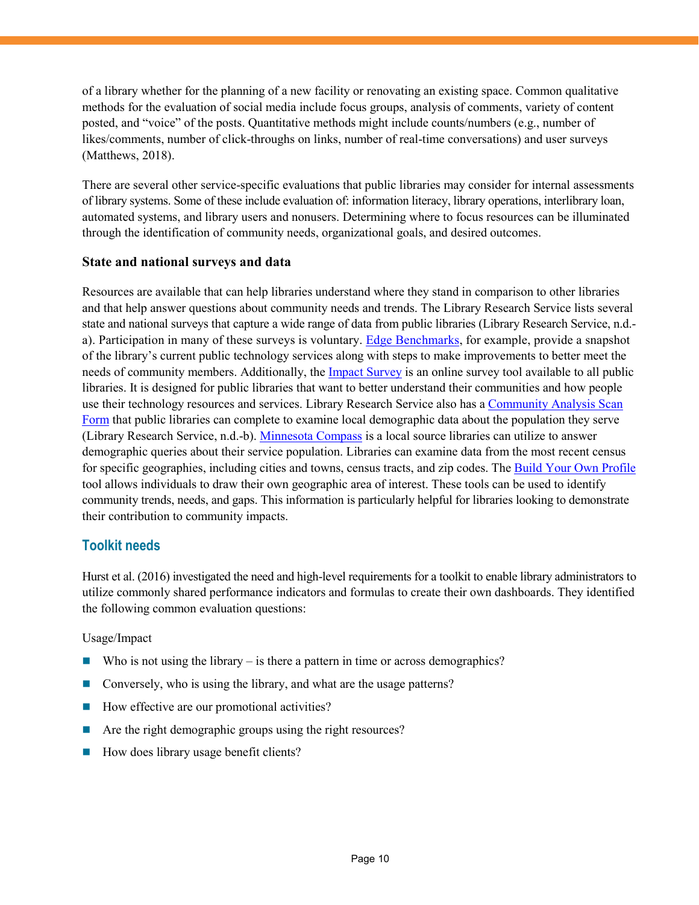of a library whether for the planning of a new facility or renovating an existing space. Common qualitative methods for the evaluation of social media include focus groups, analysis of comments, variety of content posted, and "voice" of the posts. Quantitative methods might include counts/numbers (e.g., number of likes/comments, number of click-throughs on links, number of real-time conversations) and user surveys (Matthews, 2018).

There are several other service-specific evaluations that public libraries may consider for internal assessments of library systems. Some of these include evaluation of: information literacy, library operations, interlibrary loan, automated systems, and library users and nonusers. Determining where to focus resources can be illuminated through the identification of community needs, organizational goals, and desired outcomes.

#### **State and national surveys and data**

Resources are available that can help libraries understand where they stand in comparison to other libraries and that help answer questions about community needs and trends. The Library Research Service lists several state and national surveys that capture a wide range of data from public libraries (Library Research Service, n.d. a). Participation in many of these surveys is voluntary. [Edge Benchmarks,](https://www.libraryedge.org/) for example, provide a snapshot of the library's current public technology services along with steps to make improvements to better meet the needs of community members. Additionally, th[e Impact Survey](https://www.ala.org/pla/data/impactsurvey) is an online survey tool available to all public libraries. It is designed for public libraries that want to better understand their communities and how people use their technology resources and services. Library Research Service also has a [Community Analysis Scan](https://www.lrs.org/public/ca_form.php)  [Form](https://www.lrs.org/public/ca_form.php) that public libraries can complete to examine local demographic data about the population they serve (Library Research Service, n.d.-b). [Minnesota Compass](https://www.mncompass.org/) is a local source libraries can utilize to answer demographic queries about their service population. Libraries can examine data from the most recent census for specific geographies, including cities and towns, census tracts, and zip codes. The [Build Your Own Profile](https://www.mncompass.org/profiles/custom) tool allows individuals to draw their own geographic area of interest. These tools can be used to identify community trends, needs, and gaps. This information is particularly helpful for libraries looking to demonstrate their contribution to community impacts.

#### **Toolkit needs**

Hurst et al. (2016) investigated the need and high-level requirements for a toolkit to enable library administrators to utilize commonly shared performance indicators and formulas to create their own dashboards. They identified the following common evaluation questions:

#### Usage/Impact

- Who is not using the library  $-$  is there a pattern in time or across demographics?
- Conversely, who is using the library, and what are the usage patterns?
- How effective are our promotional activities?
- Are the right demographic groups using the right resources?
- How does library usage benefit clients?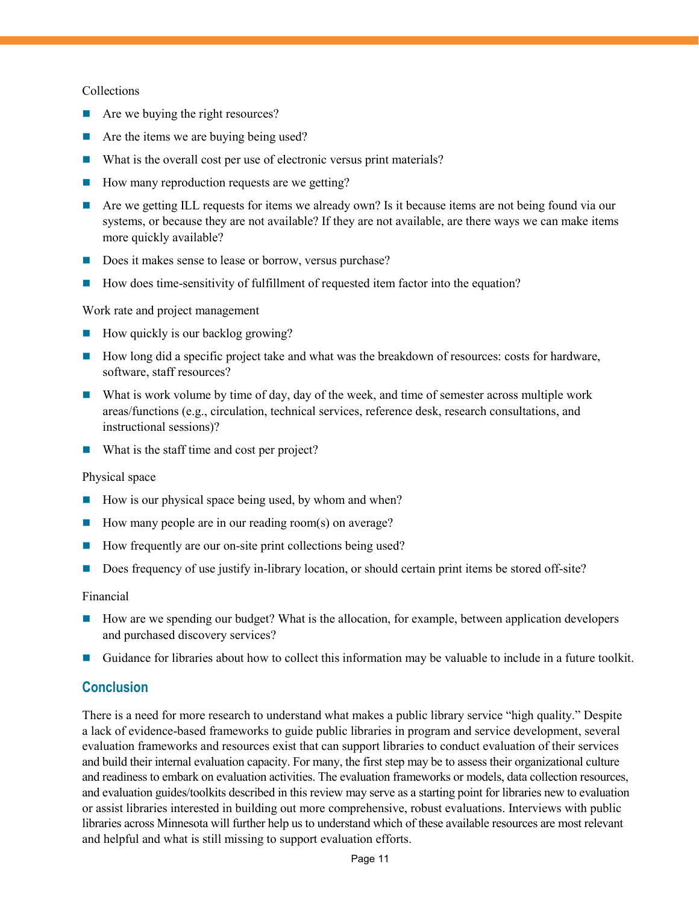#### Collections

- Are we buying the right resources?
- Are the items we are buying being used?
- What is the overall cost per use of electronic versus print materials?
- How many reproduction requests are we getting?
- Are we getting ILL requests for items we already own? Is it because items are not being found via our systems, or because they are not available? If they are not available, are there ways we can make items more quickly available?
- Does it makes sense to lease or borrow, versus purchase?
- How does time-sensitivity of fulfillment of requested item factor into the equation?

Work rate and project management

- $\blacksquare$  How quickly is our backlog growing?
- How long did a specific project take and what was the breakdown of resources: costs for hardware, software, staff resources?
- What is work volume by time of day, day of the week, and time of semester across multiple work areas/functions (e.g., circulation, technical services, reference desk, research consultations, and instructional sessions)?
- What is the staff time and cost per project?

#### Physical space

- $\blacksquare$  How is our physical space being used, by whom and when?
- How many people are in our reading room(s) on average?
- How frequently are our on-site print collections being used?
- Does frequency of use justify in-library location, or should certain print items be stored off-site?

#### Financial

- How are we spending our budget? What is the allocation, for example, between application developers and purchased discovery services?
- Guidance for libraries about how to collect this information may be valuable to include in a future toolkit.

#### **Conclusion**

There is a need for more research to understand what makes a public library service "high quality." Despite a lack of evidence-based frameworks to guide public libraries in program and service development, several evaluation frameworks and resources exist that can support libraries to conduct evaluation of their services and build their internal evaluation capacity. For many, the first step may be to assess their organizational culture and readiness to embark on evaluation activities. The evaluation frameworks or models, data collection resources, and evaluation guides/toolkits described in this review may serve as a starting point for libraries new to evaluation or assist libraries interested in building out more comprehensive, robust evaluations. Interviews with public libraries across Minnesota will further help us to understand which of these available resources are most relevant and helpful and what is still missing to support evaluation efforts.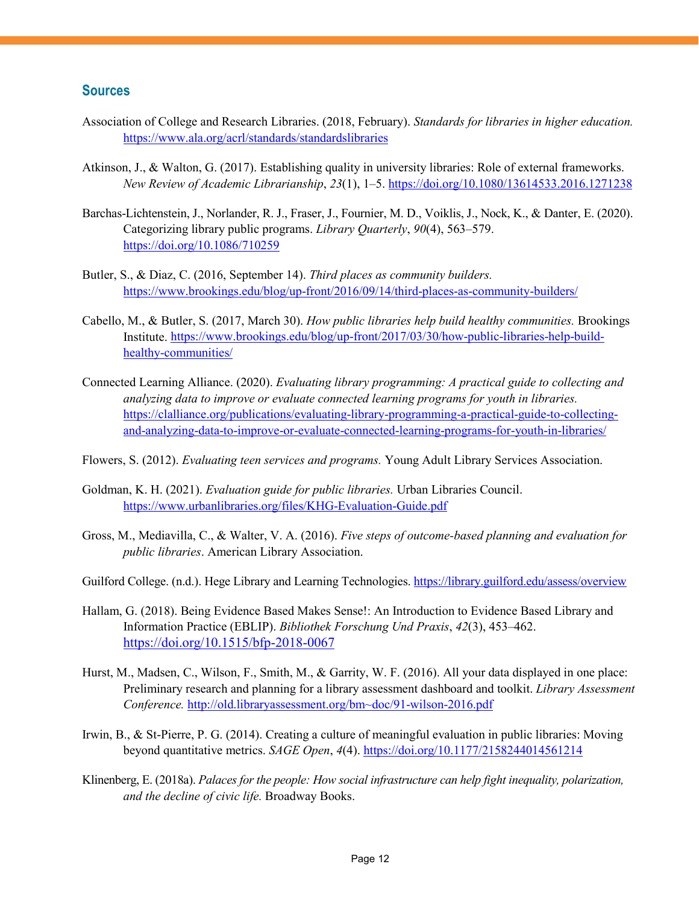#### **Sources**

- Association of College and Research Libraries. (2018, February). *Standards for libraries in higher education.*  <https://www.ala.org/acrl/standards/standardslibraries>
- Atkinson, J., & Walton, G. (2017). Establishing quality in university libraries: Role of external frameworks. *New Review of Academic Librarianship*, *23*(1), 1–5.<https://doi.org/10.1080/13614533.2016.1271238>
- Barchas-Lichtenstein, J., Norlander, R. J., Fraser, J., Fournier, M. D., Voiklis, J., Nock, K., & Danter, E. (2020). Categorizing library public programs. *Library Quarterly*, *90*(4), 563–579. <https://doi.org/10.1086/710259>
- Butler, S., & Diaz, C. (2016, September 14). *Third places as community builders.* <https://www.brookings.edu/blog/up-front/2016/09/14/third-places-as-community-builders/>
- Cabello, M., & Butler, S. (2017, March 30). *How public libraries help build healthy communities.* Brookings Institute. [https://www.brookings.edu/blog/up-front/2017/03/30/how-public-libraries-help-build](https://www.brookings.edu/blog/up-front/2017/03/30/how-public-libraries-help-build-healthy-communities/)[healthy-communities/](https://www.brookings.edu/blog/up-front/2017/03/30/how-public-libraries-help-build-healthy-communities/)
- Connected Learning Alliance. (2020). *Evaluating library programming: A practical guide to collecting and analyzing data to improve or evaluate connected learning programs for youth in libraries.*  [https://clalliance.org/publications/evaluating-library-programming-a-practical-guide-to-collecting](https://clalliance.org/publications/evaluating-library-programming-a-practical-guide-to-collecting-and-analyzing-data-to-improve-or-evaluate-connected-learning-programs-for-youth-in-libraries/)[and-analyzing-data-to-improve-or-evaluate-connected-learning-programs-for-youth-in-libraries/](https://clalliance.org/publications/evaluating-library-programming-a-practical-guide-to-collecting-and-analyzing-data-to-improve-or-evaluate-connected-learning-programs-for-youth-in-libraries/)
- Flowers, S. (2012). *Evaluating teen services and programs.* Young Adult Library Services Association.
- Goldman, K. H. (2021). *Evaluation guide for public libraries.* Urban Libraries Council. <https://www.urbanlibraries.org/files/KHG-Evaluation-Guide.pdf>
- Gross, M., Mediavilla, C., & Walter, V. A. (2016). *Five steps of outcome-based planning and evaluation for public libraries*. American Library Association.
- Guilford College. (n.d.). Hege Library and Learning Technologies[. https://library.guilford.edu/assess/overview](https://library.guilford.edu/assess/overview)
- Hallam, G. (2018). Being Evidence Based Makes Sense!: An Introduction to Evidence Based Library and Information Practice (EBLIP). *Bibliothek Forschung Und Praxis*, *42*(3), 453–462. <https://doi.org/10.1515/bfp-2018-0067>
- Hurst, M., Madsen, C., Wilson, F., Smith, M., & Garrity, W. F. (2016). All your data displayed in one place: Preliminary research and planning for a library assessment dashboard and toolkit. *Library Assessment Conference.* [http://old.libraryassessment.org/bm~doc/91-wilson-2016.pdf](http://old.libraryassessment.org/bm%7Edoc/91-wilson-2016.pdf)
- Irwin, B., & St-Pierre, P. G. (2014). Creating a culture of meaningful evaluation in public libraries: Moving beyond quantitative metrics. *SAGE Open*, *4*(4).<https://doi.org/10.1177/2158244014561214>
- Klinenberg, E. (2018a). *Palaces for the people: How social infrastructure can help fight inequality, polarization, and the decline of civic life.* Broadway Books.